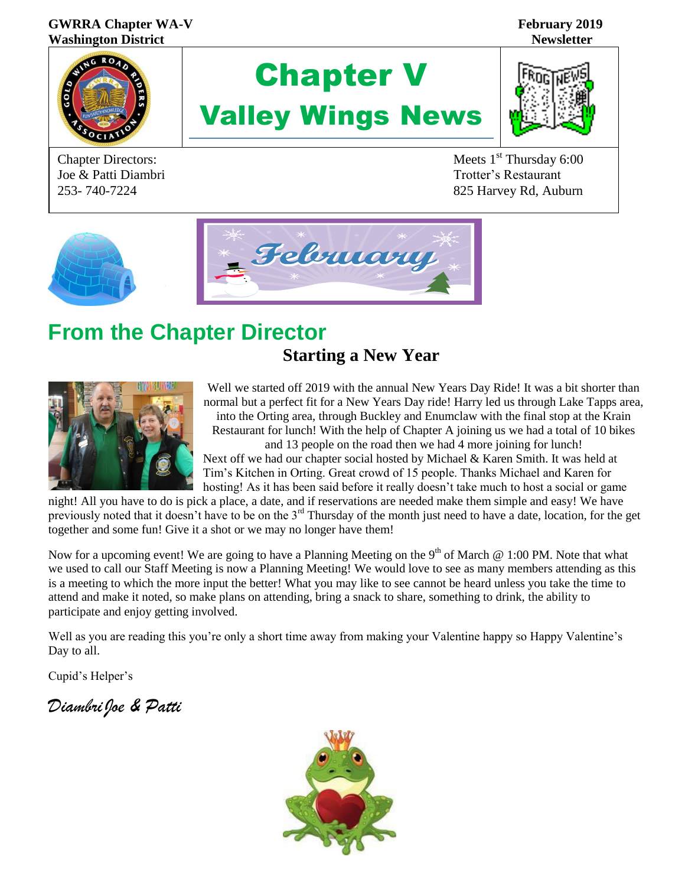#### GWRRA Chapter WA-V February 2019 **Washington District Newsletter**



Joe & Patti Diambri Trotter's Restaurant

# Chapter V Valley Wings News



Chapter Directors: Meets 1<sup>st</sup> Thursday 6:00 253- 740-7224 825 Harvey Rd, Auburn



# **From the Chapter Director**

## **Starting a New Year**



Well we started off 2019 with the annual New Years Day Ride! It was a bit shorter than normal but a perfect fit for a New Years Day ride! Harry led us through Lake Tapps area, into the Orting area, through Buckley and Enumclaw with the final stop at the Krain Restaurant for lunch! With the help of Chapter A joining us we had a total of 10 bikes

and 13 people on the road then we had 4 more joining for lunch! Next off we had our chapter social hosted by Michael & Karen Smith. It was held at Tim's Kitchen in Orting. Great crowd of 15 people. Thanks Michael and Karen for hosting! As it has been said before it really doesn't take much to host a social or game

night! All you have to do is pick a place, a date, and if reservations are needed make them simple and easy! We have previously noted that it doesn't have to be on the 3rd Thursday of the month just need to have a date, location, for the get together and some fun! Give it a shot or we may no longer have them!

Now for a upcoming event! We are going to have a Planning Meeting on the 9<sup>th</sup> of March  $\omega$  1:00 PM. Note that what we used to call our Staff Meeting is now a Planning Meeting! We would love to see as many members attending as this is a meeting to which the more input the better! What you may like to see cannot be heard unless you take the time to attend and make it noted, so make plans on attending, bring a snack to share, something to drink, the ability to participate and enjoy getting involved.

Well as you are reading this you're only a short time away from making your Valentine happy so Happy Valentine's Day to all.

Cupid's Helper's

*DiambriJoe & Patti* <sup>C</sup>

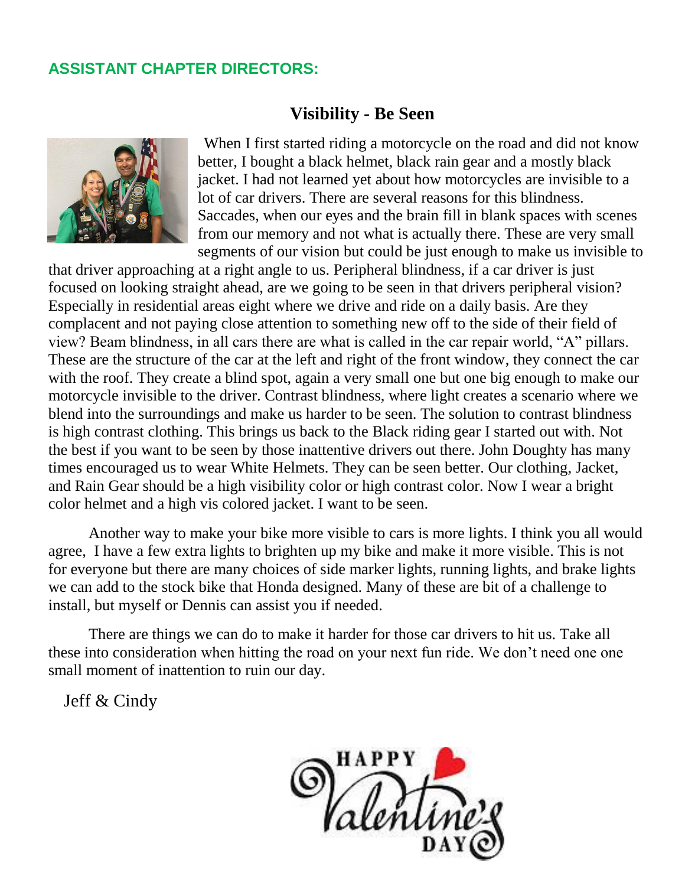### **ASSISTANT CHAPTER DIRECTORS:**

#### **Visibility - Be Seen**



 When I first started riding a motorcycle on the road and did not know better, I bought a black helmet, black rain gear and a mostly black jacket. I had not learned yet about how motorcycles are invisible to a lot of car drivers. There are several reasons for this blindness. Saccades, when our eyes and the brain fill in blank spaces with scenes from our memory and not what is actually there. These are very small segments of our vision but could be just enough to make us invisible to

that driver approaching at a right angle to us. Peripheral blindness, if a car driver is just focused on looking straight ahead, are we going to be seen in that drivers peripheral vision? Especially in residential areas eight where we drive and ride on a daily basis. Are they complacent and not paying close attention to something new off to the side of their field of view? Beam blindness, in all cars there are what is called in the car repair world, "A" pillars. These are the structure of the car at the left and right of the front window, they connect the car with the roof. They create a blind spot, again a very small one but one big enough to make our motorcycle invisible to the driver. Contrast blindness, where light creates a scenario where we blend into the surroundings and make us harder to be seen. The solution to contrast blindness is high contrast clothing. This brings us back to the Black riding gear I started out with. Not the best if you want to be seen by those inattentive drivers out there. John Doughty has many times encouraged us to wear White Helmets. They can be seen better. Our clothing, Jacket, and Rain Gear should be a high visibility color or high contrast color. Now I wear a bright color helmet and a high vis colored jacket. I want to be seen.

Another way to make your bike more visible to cars is more lights. I think you all would agree, I have a few extra lights to brighten up my bike and make it more visible. This is not for everyone but there are many choices of side marker lights, running lights, and brake lights we can add to the stock bike that Honda designed. Many of these are bit of a challenge to install, but myself or Dennis can assist you if needed.

There are things we can do to make it harder for those car drivers to hit us. Take all these into consideration when hitting the road on your next fun ride. We don't need one one small moment of inattention to ruin our day.

Jeff  $&$  Cindy

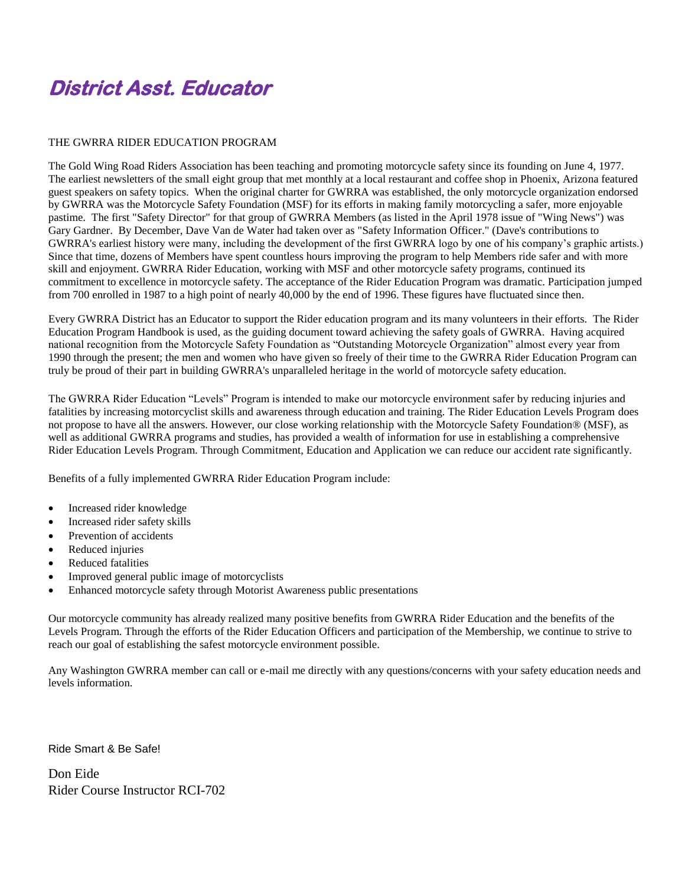## **District Asst. Educator**

#### THE GWRRA RIDER EDUCATION PROGRAM

The Gold Wing Road Riders Association has been teaching and promoting motorcycle safety since its founding on June 4, 1977. The earliest newsletters of the small eight group that met monthly at a local restaurant and coffee shop in Phoenix, Arizona featured guest speakers on safety topics. When the original charter for GWRRA was established, the only motorcycle organization endorsed by GWRRA was the Motorcycle Safety Foundation (MSF) for its efforts in making family motorcycling a safer, more enjoyable pastime. The first "Safety Director" for that group of GWRRA Members (as listed in the April 1978 issue of "Wing News") was Gary Gardner. By December, Dave Van de Water had taken over as "Safety Information Officer." (Dave's contributions to GWRRA's earliest history were many, including the development of the first GWRRA logo by one of his company's graphic artists.) Since that time, dozens of Members have spent countless hours improving the program to help Members ride safer and with more skill and enjoyment. GWRRA Rider Education, working with MSF and other motorcycle safety programs, continued its commitment to excellence in motorcycle safety. The acceptance of the Rider Education Program was dramatic. Participation jumped from 700 enrolled in 1987 to a high point of nearly 40,000 by the end of 1996. These figures have fluctuated since then.

Every GWRRA District has an Educator to support the Rider education program and its many volunteers in their efforts. The Rider Education Program Handbook is used, as the guiding document toward achieving the safety goals of GWRRA. Having acquired national recognition from the Motorcycle Safety Foundation as "Outstanding Motorcycle Organization" almost every year from 1990 through the present; the men and women who have given so freely of their time to the GWRRA Rider Education Program can truly be proud of their part in building GWRRA's unparalleled heritage in the world of motorcycle safety education.

The GWRRA Rider Education "Levels" Program is intended to make our motorcycle environment safer by reducing injuries and fatalities by increasing motorcyclist skills and awareness through education and training. The Rider Education Levels Program does not propose to have all the answers. However, our close working relationship with the Motorcycle Safety Foundation® (MSF), as well as additional GWRRA programs and studies, has provided a wealth of information for use in establishing a comprehensive Rider Education Levels Program. Through Commitment, Education and Application we can reduce our accident rate significantly.

Benefits of a fully implemented GWRRA Rider Education Program include:

- Increased rider knowledge
- Increased rider safety skills
- Prevention of accidents
- Reduced injuries
- Reduced fatalities
- Improved general public image of motorcyclists
- Enhanced motorcycle safety through Motorist Awareness public presentations

Our motorcycle community has already realized many positive benefits from GWRRA Rider Education and the benefits of the Levels Program. Through the efforts of the Rider Education Officers and participation of the Membership, we continue to strive to reach our goal of establishing the safest motorcycle environment possible.

Any Washington GWRRA member can call or e-mail me directly with any questions/concerns with your safety education needs and levels information.

Ride Smart & Be Safe!

Don Eide Rider Course Instructor RCI-702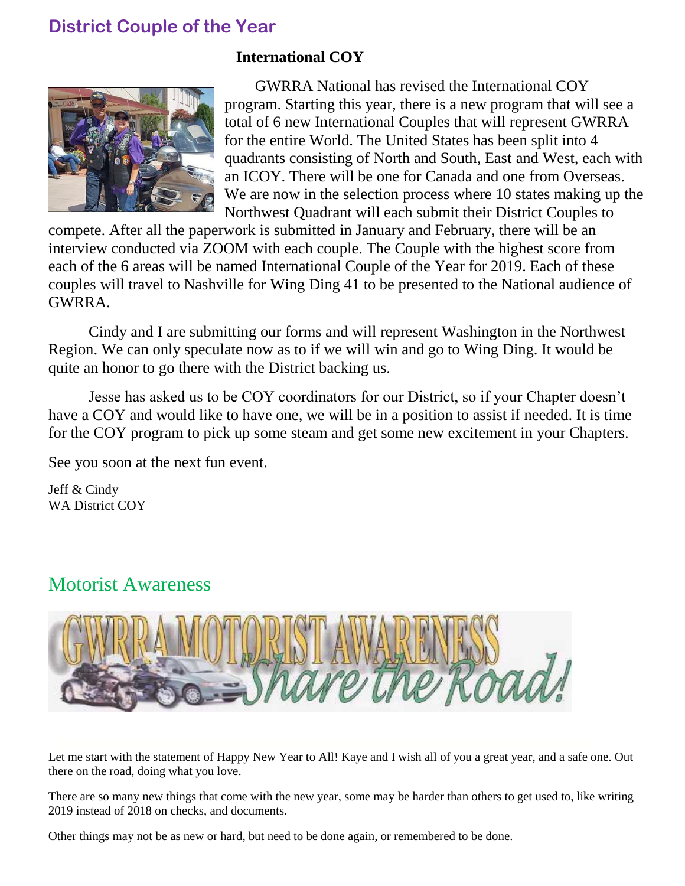## **District Couple of the Year**

#### **International COY**



GWRRA National has revised the International COY program. Starting this year, there is a new program that will see a total of 6 new International Couples that will represent GWRRA for the entire World. The United States has been split into 4 quadrants consisting of North and South, East and West, each with an ICOY. There will be one for Canada and one from Overseas. We are now in the selection process where 10 states making up the Northwest Quadrant will each submit their District Couples to

compete. After all the paperwork is submitted in January and February, there will be an interview conducted via ZOOM with each couple. The Couple with the highest score from each of the 6 areas will be named International Couple of the Year for 2019. Each of these couples will travel to Nashville for Wing Ding 41 to be presented to the National audience of GWRRA.

Cindy and I are submitting our forms and will represent Washington in the Northwest Region. We can only speculate now as to if we will win and go to Wing Ding. It would be quite an honor to go there with the District backing us.

Jesse has asked us to be COY coordinators for our District, so if your Chapter doesn't have a COY and would like to have one, we will be in a position to assist if needed. It is time for the COY program to pick up some steam and get some new excitement in your Chapters.

See you soon at the next fun event.

Jeff & Cindy WA District COY

## Motorist Awareness



Let me start with the statement of Happy New Year to All! Kaye and I wish all of you a great year, and a safe one. Out there on the road, doing what you love.

There are so many new things that come with the new year, some may be harder than others to get used to, like writing 2019 instead of 2018 on checks, and documents.

Other things may not be as new or hard, but need to be done again, or remembered to be done.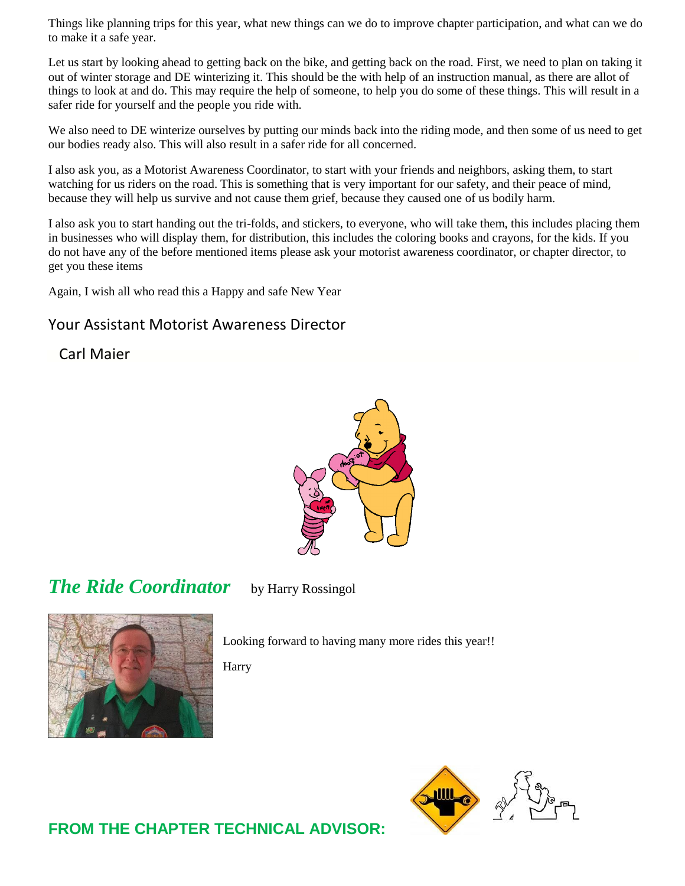Things like planning trips for this year, what new things can we do to improve chapter participation, and what can we do to make it a safe year.

Let us start by looking ahead to getting back on the bike, and getting back on the road. First, we need to plan on taking it out of winter storage and DE winterizing it. This should be the with help of an instruction manual, as there are allot of things to look at and do. This may require the help of someone, to help you do some of these things. This will result in a safer ride for yourself and the people you ride with.

We also need to DE winterize ourselves by putting our minds back into the riding mode, and then some of us need to get our bodies ready also. This will also result in a safer ride for all concerned.

I also ask you, as a Motorist Awareness Coordinator, to start with your friends and neighbors, asking them, to start watching for us riders on the road. This is something that is very important for our safety, and their peace of mind, because they will help us survive and not cause them grief, because they caused one of us bodily harm.

I also ask you to start handing out the tri-folds, and stickers, to everyone, who will take them, this includes placing them in businesses who will display them, for distribution, this includes the coloring books and crayons, for the kids. If you do not have any of the before mentioned items please ask your motorist awareness coordinator, or chapter director, to get you these items

Again, I wish all who read this a Happy and safe New Year

#### Your Assistant Motorist Awareness Director

Carl Maier



*The Ride Coordinator* by Harry Rossingol



Looking forward to having many more rides this year!!

Harry



**FROM THE CHAPTER TECHNICAL ADVISOR:**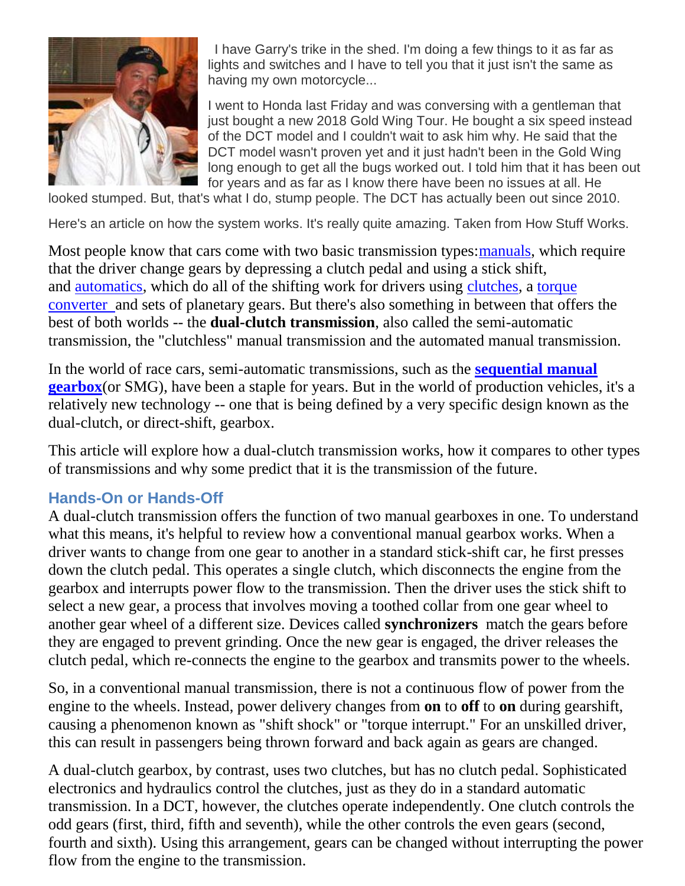

 I have Garry's trike in the shed. I'm doing a few things to it as far as lights and switches and I have to tell you that it just isn't the same as having my own motorcycle...

I went to Honda last Friday and was conversing with a gentleman that just bought a new 2018 Gold Wing Tour. He bought a six speed instead of the DCT model and I couldn't wait to ask him why. He said that the DCT model wasn't proven yet and it just hadn't been in the Gold Wing long enough to get all the bugs worked out. I told him that it has been out for years and as far as I know there have been no issues at all. He

looked stumped. But, that's what I do, stump people. The DCT has actually been out since 2010.

Here's an article on how the system works. It's really quite amazing. Taken from How Stuff Works.

Most people know that cars come with two basic transmission types: manuals, which require that the driver change gears by depressing a clutch pedal and using a stick shift, and [automatics,](https://auto.howstuffworks.com/automatic-transmission.htm) which do all of the shifting work for drivers using [clutches,](https://auto.howstuffworks.com/clutch.htm) a [torque](https://auto.howstuffworks.com/auto-parts/towing/towing-capacity/information/torque-converter.htm)  [converter a](https://auto.howstuffworks.com/auto-parts/towing/towing-capacity/information/torque-converter.htm)nd sets of planetary gears. But there's also something in between that offers the best of both worlds -- the **dual-clutch transmission**, also called the semi-automatic transmission, the "clutchless" manual transmission and the automated manual transmission.

In the world of race cars, semi-automatic transmissions, such as the **[sequential manual](https://auto.howstuffworks.com/sequential-gearbox.htm)  [gearbox](https://auto.howstuffworks.com/sequential-gearbox.htm)**(or SMG), have been a staple for years. But in the world of production vehicles, it's a relatively new technology -- one that is being defined by a very specific design known as the dual-clutch, or direct-shift, gearbox.

This article will explore how a dual-clutch transmission works, how it compares to other types of transmissions and why some predict that it is the transmission of the future.

### **Hands-On or Hands-Off**

A dual-clutch transmission offers the function of two manual gearboxes in one. To understand what this means, it's helpful to review how a conventional manual gearbox works. When a driver wants to change from one gear to another in a standard stick-shift car, he first presses down the clutch pedal. This operates a single clutch, which disconnects the engine from the gearbox and interrupts power flow to the transmission. Then the driver uses the stick shift to select a new gear, a process that involves moving a toothed collar from one gear wheel to another gear wheel of a different size. Devices called **synchronizers** match the gears before they are engaged to prevent grinding. Once the new gear is engaged, the driver releases the clutch pedal, which re-connects the engine to the gearbox and transmits power to the wheels.

So, in a conventional manual transmission, there is not a continuous flow of power from the engine to the wheels. Instead, power delivery changes from **on** to **off** to **on** during gearshift, causing a phenomenon known as "shift shock" or "torque interrupt." For an unskilled driver, this can result in passengers being thrown forward and back again as gears are changed.

A dual-clutch gearbox, by contrast, uses two clutches, but has no clutch pedal. Sophisticated electronics and hydraulics control the clutches, just as they do in a standard automatic transmission. In a DCT, however, the clutches operate independently. One clutch controls the odd gears (first, third, fifth and seventh), while the other controls the even gears (second, fourth and sixth). Using this arrangement, gears can be changed without interrupting the power flow from the engine to the transmission.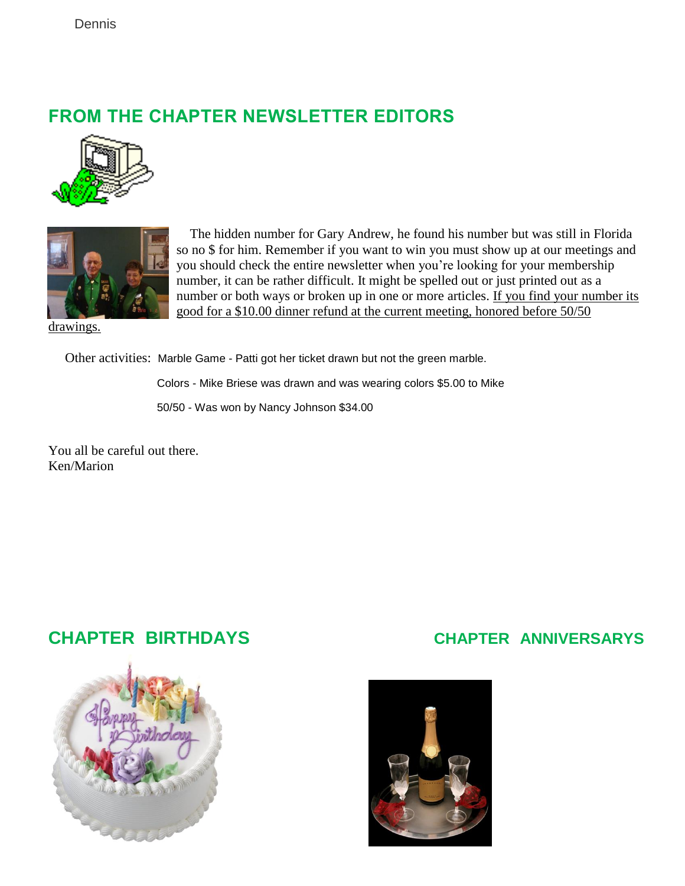## **FROM THE CHAPTER NEWSLETTER EDITORS**





 The hidden number for Gary Andrew, he found his number but was still in Florida so no \$ for him. Remember if you want to win you must show up at our meetings and you should check the entire newsletter when you're looking for your membership number, it can be rather difficult. It might be spelled out or just printed out as a number or both ways or broken up in one or more articles. If you find your number its good for a \$10.00 dinner refund at the current meeting, honored before 50/50

drawings.

Other activities: Marble Game - Patti got her ticket drawn but not the green marble.

Colors - Mike Briese was drawn and was wearing colors \$5.00 to Mike

50/50 - Was won by Nancy Johnson \$34.00

You all be careful out there. Ken/Marion





### **CHAPTER BIRTHDAYS CHAPTER ANNIVERSARYS**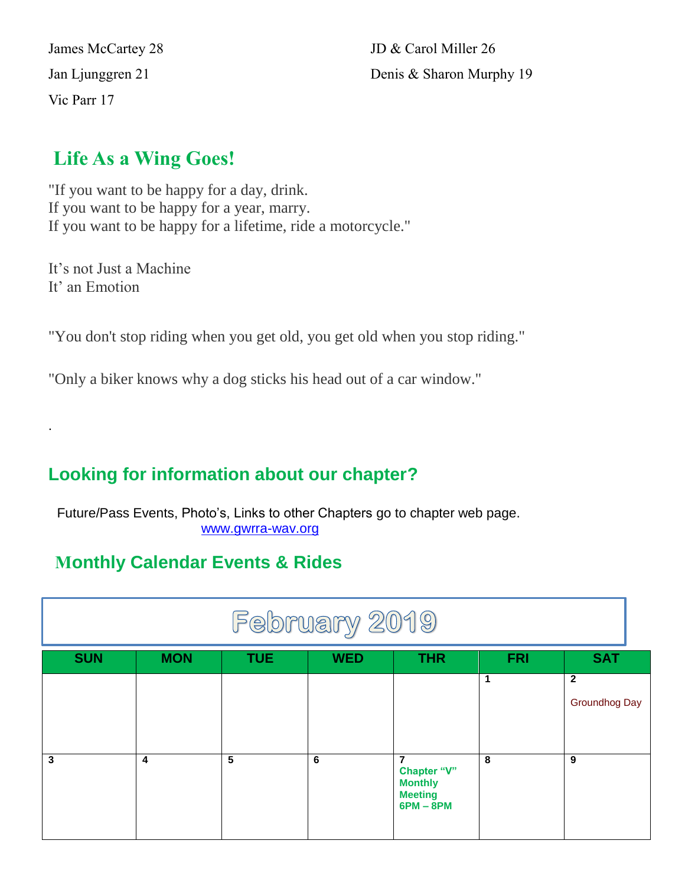Vic Parr 17

James McCartey 28 JD & Carol Miller 26 Jan Ljunggren 21 Denis & Sharon Murphy 19

## **Life As a Wing Goes!**

"If you want to be happy for a day, drink. If you want to be happy for a year, marry. If you want to be happy for a lifetime, ride a motorcycle."

It's not Just a Machine It' an Emotion

.

"You don't stop riding when you get old, you get old when you stop riding."

"Only a biker knows why a dog sticks his head out of a car window."

## **Looking for information about our chapter?**

Future/Pass Events, Photo's, Links to other Chapters go to chapter web page. [www.gwrra-wav.org](http://www.gwrra-wav.org/)

## **Monthly Calendar Events & Rides**

| February 2019 |            |            |            |                                                                     |            |                               |  |
|---------------|------------|------------|------------|---------------------------------------------------------------------|------------|-------------------------------|--|
| <b>SUN</b>    | <b>MON</b> | <b>TUE</b> | <b>WED</b> | <b>THR</b>                                                          | <b>FRI</b> | <b>SAT</b>                    |  |
|               |            |            |            |                                                                     | 1          | $\mathbf{2}$<br>Groundhog Day |  |
| 3             | 4          | 5          | 6          | 7<br>Chapter "V"<br><b>Monthly</b><br><b>Meeting</b><br>$6PM - 8PM$ | 8          | 9                             |  |